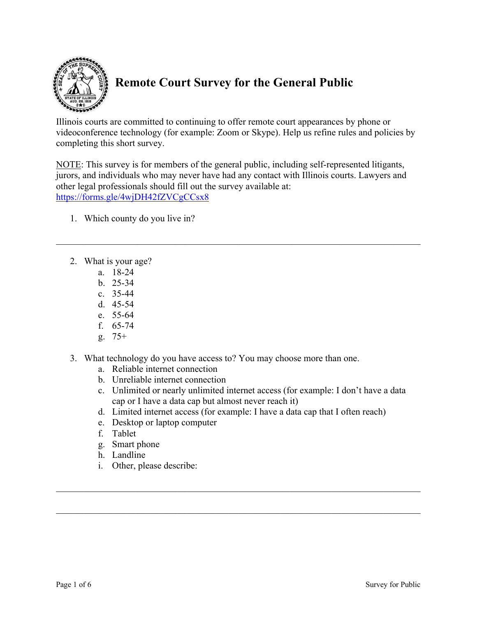

## **Remote Court Survey for the General Public**

Illinois courts are committed to continuing to offer remote court appearances by phone or videoconference technology (for example: Zoom or Skype). Help us refine rules and policies by completing this short survey.

NOTE: This survey is for members of the general public, including self-represented litigants, jurors, and individuals who may never have had any contact with Illinois courts. Lawyers and other legal professionals should fill out the survey available at: https://forms.gle/4wjDH42fZVCgCCsx8

- 1. Which county do you live in?
- 2. What is your age?
	- a. 18-24
	- b. 25-34
	- c. 35-44
	- d. 45-54
	- e. 55-64
	- f. 65-74
	- g. 75+
- 3. What technology do you have access to? You may choose more than one.
	- a. Reliable internet connection
	- b. Unreliable internet connection
	- c. Unlimited or nearly unlimited internet access (for example: I don't have a data cap or I have a data cap but almost never reach it)
	- d. Limited internet access (for example: I have a data cap that I often reach)
	- e. Desktop or laptop computer
	- f. Tablet
	- g. Smart phone
	- h. Landline
	- i. Other, please describe: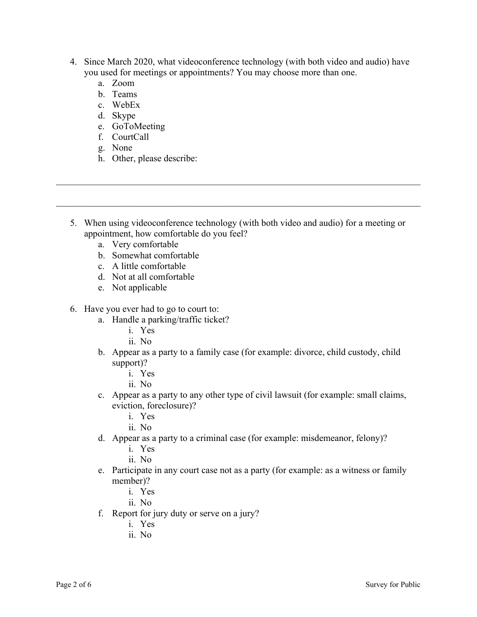- 4. Since March 2020, what videoconference technology (with both video and audio) have you used for meetings or appointments? You may choose more than one.
	- a. Zoom
	- b. Teams
	- c. WebEx
	- d. Skype
	- e. GoToMeeting
	- f. CourtCall
	- g. None
	- h. Other, please describe:
- 5. When using videoconference technology (with both video and audio) for a meeting or appointment, how comfortable do you feel?
	- a. Very comfortable
	- b. Somewhat comfortable
	- c. A little comfortable
	- d. Not at all comfortable
	- e. Not applicable
- 6. Have you ever had to go to court to:
	- a. Handle a parking/traffic ticket?
		- i. Yes
		- ii. No
	- b. Appear as a party to a family case (for example: divorce, child custody, child support)?
		- i. Yes
		- ii. No
	- c. Appear as a party to any other type of civil lawsuit (for example: small claims, eviction, foreclosure)?
		- i. Yes
		- ii. No
	- d. Appear as a party to a criminal case (for example: misdemeanor, felony)?
		- i. Yes
		- ii. No
	- e. Participate in any court case not as a party (for example: as a witness or family member)?
		- i. Yes
		- ii. No
	- f. Report for jury duty or serve on a jury?
		- i. Yes
		- ii. No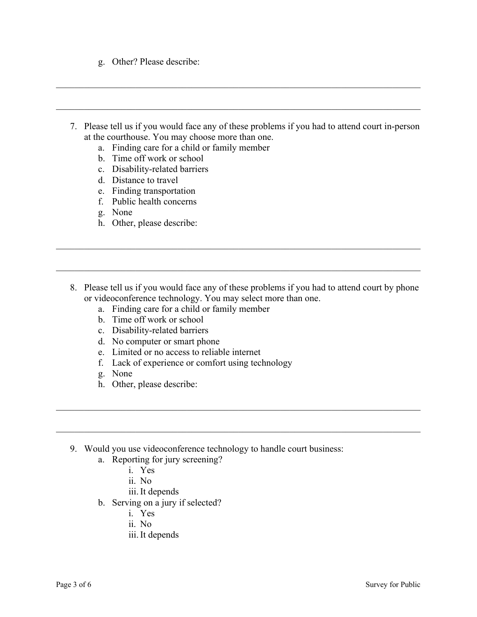- g. Other? Please describe:
- 7. Please tell us if you would face any of these problems if you had to attend court in-person at the courthouse. You may choose more than one.
	- a. Finding care for a child or family member
	- b. Time off work or school
	- c. Disability-related barriers
	- d. Distance to travel
	- e. Finding transportation
	- f. Public health concerns
	- g. None
	- h. Other, please describe:
- 8. Please tell us if you would face any of these problems if you had to attend court by phone or videoconference technology. You may select more than one.

 $\mathcal{L}_\mathcal{L} = \mathcal{L}_\mathcal{L} = \mathcal{L}_\mathcal{L} = \mathcal{L}_\mathcal{L} = \mathcal{L}_\mathcal{L} = \mathcal{L}_\mathcal{L} = \mathcal{L}_\mathcal{L} = \mathcal{L}_\mathcal{L} = \mathcal{L}_\mathcal{L} = \mathcal{L}_\mathcal{L} = \mathcal{L}_\mathcal{L} = \mathcal{L}_\mathcal{L} = \mathcal{L}_\mathcal{L} = \mathcal{L}_\mathcal{L} = \mathcal{L}_\mathcal{L} = \mathcal{L}_\mathcal{L} = \mathcal{L}_\mathcal{L}$ 

- a. Finding care for a child or family member
- b. Time off work or school
- c. Disability-related barriers
- d. No computer or smart phone
- e. Limited or no access to reliable internet
- f. Lack of experience or comfort using technology
- g. None
- h. Other, please describe:
- 9. Would you use videoconference technology to handle court business:
	- a. Reporting for jury screening?
		- i. Yes
		- ii. No
		- iii.It depends
	- b. Serving on a jury if selected?
		- i. Yes
		- ii. No
		- iii.It depends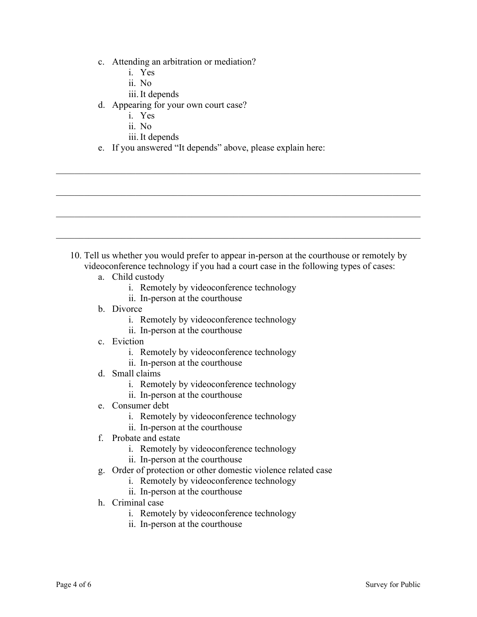- c. Attending an arbitration or mediation?
	- i. Yes
	- ii. No
	- iii.It depends
- d. Appearing for your own court case?
	- i. Yes
	- ii. No
	- iii.It depends
- e. If you answered "It depends" above, please explain here:

- 10. Tell us whether you would prefer to appear in-person at the courthouse or remotely by videoconference technology if you had a court case in the following types of cases:
	- a. Child custody
		- i. Remotely by videoconference technology
		- ii. In-person at the courthouse
	- b. Divorce
		- i. Remotely by videoconference technology
		- ii. In-person at the courthouse
	- c. Eviction
		- i. Remotely by videoconference technology
		- ii. In-person at the courthouse
	- d. Small claims
		- i. Remotely by videoconference technology
		- ii. In-person at the courthouse
	- e. Consumer debt
		- i. Remotely by videoconference technology
		- ii. In-person at the courthouse
	- f. Probate and estate
		- i. Remotely by videoconference technology
		- ii. In-person at the courthouse
	- g. Order of protection or other domestic violence related case
		- i. Remotely by videoconference technology
		- ii. In-person at the courthouse
	- h. Criminal case
		- i. Remotely by videoconference technology
		- ii. In-person at the courthouse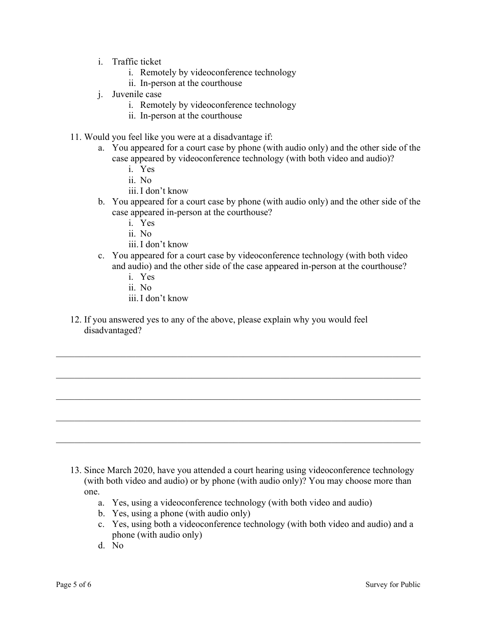- i. Traffic ticket
	- i. Remotely by videoconference technology
	- ii. In-person at the courthouse
- j. Juvenile case
	- i. Remotely by videoconference technology
	- ii. In-person at the courthouse
- 11. Would you feel like you were at a disadvantage if:
	- a. You appeared for a court case by phone (with audio only) and the other side of the case appeared by videoconference technology (with both video and audio)?
		- i. Yes
		- ii. No
		- iii.I don't know
	- b. You appeared for a court case by phone (with audio only) and the other side of the case appeared in-person at the courthouse?
		- i. Yes
		- ii. No
		- iii.I don't know
	- c. You appeared for a court case by videoconference technology (with both video and audio) and the other side of the case appeared in-person at the courthouse?
		- i. Yes
		- ii. No
		- iii.I don't know
- 12. If you answered yes to any of the above, please explain why you would feel disadvantaged?

13. Since March 2020, have you attended a court hearing using videoconference technology (with both video and audio) or by phone (with audio only)? You may choose more than one.

 $\_$  , and the set of the set of the set of the set of the set of the set of the set of the set of the set of the set of the set of the set of the set of the set of the set of the set of the set of the set of the set of th

- a. Yes, using a videoconference technology (with both video and audio)
- b. Yes, using a phone (with audio only)
- c. Yes, using both a videoconference technology (with both video and audio) and a phone (with audio only)
- d. No